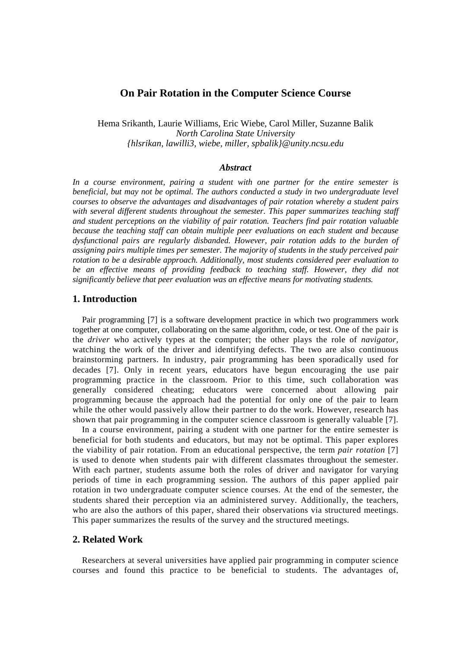# **On Pair Rotation in the Computer Science Course**

Hema Srikanth, Laurie Williams, Eric Wiebe, Carol Miller, Suzanne Balik *North Carolina State University {hlsrikan, lawilli3, wiebe, miller, spbalik}@unity.ncsu.edu*

### *Abstract*

*In a course environment, pairing a student with one partner for the entire semester is beneficial, but may not be optimal. The authors conducted a study in two undergraduate level courses to observe the advantages and disadvantages of pair rotation whereby a student pairs with several different students throughout the semester. This paper summarizes teaching staff and student perceptions on the viability of pair rotation. Teachers find pair rotation valuable because the teaching staff can obtain multiple peer evaluations on each student and because dysfunctional pairs are regularly disbanded. However, pair rotation adds to the burden of assigning pairs multiple times per semester. The majority of students in the study perceived pair rotation to be a desirable approach. Additionally, most students considered peer evaluation to be an effective means of providing feedback to teaching staff. However, they did not significantly believe that peer evaluation was an effective means for motivating students.*

# **1. Introduction**

Pair programming [7] is a software development practice in which two programmers work together at one computer, collaborating on the same algorithm, code, or test. One of the pair is the *driver* who actively types at the computer; the other plays the role of *navigator,* watching the work of the driver and identifying defects. The two are also continuous brainstorming partners. In industry, pair programming has been sporadically used for decades [7]. Only in recent years, educators have begun encouraging the use pair programming practice in the classroom. Prior to this time, such collaboration was generally considered cheating; educators were concerned about allowing pair programming because the approach had the potential for only one of the pair to learn while the other would passively allow their partner to do the work. However, research has shown that pair programming in the computer science classroom is generally valuable [7].

In a course environment, pairing a student with one partner for the entire semester is beneficial for both students and educators, but may not be optimal. This paper explores the viability of pair rotation. From an educational perspective, the term *pair rotation* [7] is used to denote when students pair with different classmates throughout the semester. With each partner, students assume both the roles of driver and navigator for varying periods of time in each programming session. The authors of this paper applied pair rotation in two undergraduate computer science courses. At the end of the semester, the students shared their perception via an administered survey. Additionally, the teachers, who are also the authors of this paper, shared their observations via structured meetings. This paper summarizes the results of the survey and the structured meetings.

# **2. Related Work**

Researchers at several universities have applied pair programming in computer science courses and found this practice to be beneficial to students. The advantages of,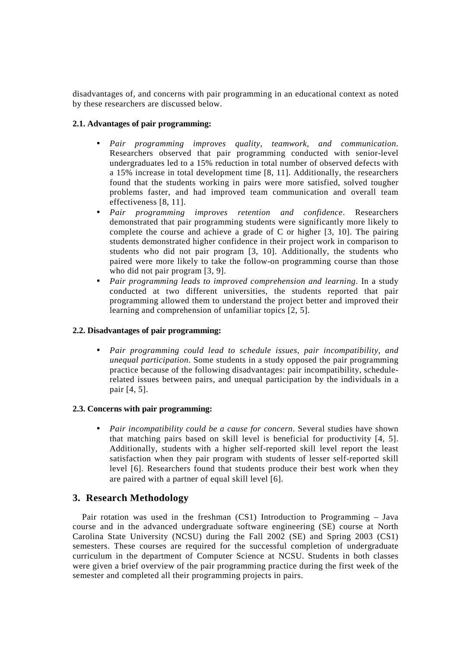disadvantages of, and concerns with pair programming in an educational context as noted by these researchers are discussed below.

# **2.1. Advantages of pair programming:**

- *Pair programming improves quality, teamwork, and communication*. Researchers observed that pair programming conducted with senior-level undergraduates led to a 15% reduction in total number of observed defects with a 15% increase in total development time [8, 11]. Additionally, the researchers found that the students working in pairs were more satisfied, solved tougher problems faster, and had improved team communication and overall team effectiveness [8, 11].
- *Pair programming improves retention and confidence*. Researchers demonstrated that pair programming students were significantly more likely to complete the course and achieve a grade of C or higher [3, 10]. The pairing students demonstrated higher confidence in their project work in comparison to students who did not pair program [3, 10]. Additionally, the students who paired were more likely to take the follow-on programming course than those who did not pair program [3, 9].
- *Pair programming leads to improved comprehension and learning*. In a study conducted at two different universities, the students reported that pair programming allowed them to understand the project better and improved their learning and comprehension of unfamiliar topics [2, 5].

### **2.2. Disadvantages of pair programming:**

• *Pair programming could lead to schedule issues, pair incompatibility, and unequal participation*. Some students in a study opposed the pair programming practice because of the following disadvantages: pair incompatibility, schedulerelated issues between pairs, and unequal participation by the individuals in a pair [4, 5].

### **2.3. Concerns with pair programming:**

• *Pair incompatibility could be a cause for concern*. Several studies have shown that matching pairs based on skill level is beneficial for productivity [4, 5]. Additionally, students with a higher self-reported skill level report the least satisfaction when they pair program with students of lesser self-reported skill level [6]. Researchers found that students produce their best work when they are paired with a partner of equal skill level [6].

# **3. Research Methodology**

Pair rotation was used in the freshman (CS1) Introduction to Programming – Java course and in the advanced undergraduate software engineering (SE) course at North Carolina State University (NCSU) during the Fall 2002 (SE) and Spring 2003 (CS1) semesters. These courses are required for the successful completion of undergraduate curriculum in the department of Computer Science at NCSU. Students in both classes were given a brief overview of the pair programming practice during the first week of the semester and completed all their programming projects in pairs.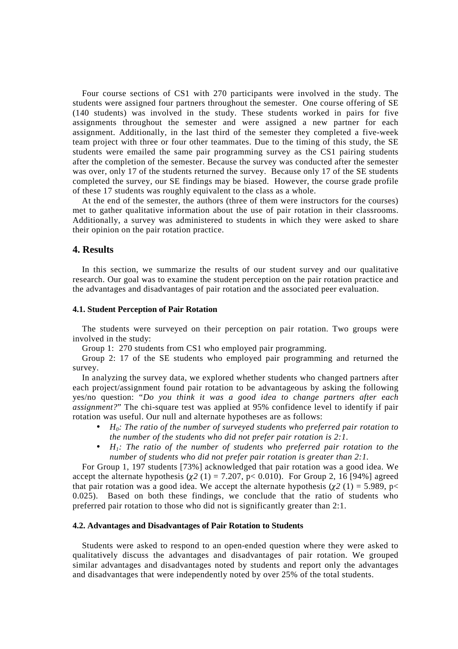Four course sections of CS1 with 270 participants were involved in the study. The students were assigned four partners throughout the semester. One course offering of SE (140 students) was involved in the study. These students worked in pairs for five assignments throughout the semester and were assigned a new partner for each assignment. Additionally, in the last third of the semester they completed a five-week team project with three or four other teammates. Due to the timing of this study, the SE students were emailed the same pair programming survey as the CS1 pairing students after the completion of the semester. Because the survey was conducted after the semester was over, only 17 of the students returned the survey. Because only 17 of the SE students completed the survey, our SE findings may be biased. However, the course grade profile of these 17 students was roughly equivalent to the class as a whole.

At the end of the semester, the authors (three of them were instructors for the courses) met to gather qualitative information about the use of pair rotation in their classrooms. Additionally, a survey was administered to students in which they were asked to share their opinion on the pair rotation practice.

# **4. Results**

In this section, we summarize the results of our student survey and our qualitative research. Our goal was to examine the student perception on the pair rotation practice and the advantages and disadvantages of pair rotation and the associated peer evaluation.

#### **4.1. Student Perception of Pair Rotation**

The students were surveyed on their perception on pair rotation. Two groups were involved in the study:

Group 1: 270 students from CS1 who employed pair programming.

Group 2: 17 of the SE students who employed pair programming and returned the survey.

In analyzing the survey data, we explored whether students who changed partners after each project/assignment found pair rotation to be advantageous by asking the following yes/no question: "*Do you think it was a good idea to change partners after each assignment?*" The chi-square test was applied at 95% confidence level to identify if pair rotation was useful. Our null and alternate hypotheses are as follows:

- *H0: The ratio of the number of surveyed students who preferred pair rotation to the number of the students who did not prefer pair rotation is 2:1.*
- *H1: The ratio of the number of students who preferred pair rotation to the number of students who did not prefer pair rotation is greater than 2:1.*

For Group 1, 197 students [73%] acknowledged that pair rotation was a good idea. We accept the alternate hypothesis  $\left(\chi^2(1) = 7.207, p < 0.010\right)$ . For Group 2, 16 [94%] agreed that pair rotation was a good idea. We accept the alternate hypothesis  $\left(\chi^2(1) = 5.989, p<$ 0.025). Based on both these findings, we conclude that the ratio of students who preferred pair rotation to those who did not is significantly greater than 2:1.

#### **4.2. Advantages and Disadvantages of Pair Rotation to Students**

Students were asked to respond to an open-ended question where they were asked to qualitatively discuss the advantages and disadvantages of pair rotation. We grouped similar advantages and disadvantages noted by students and report only the advantages and disadvantages that were independently noted by over 25% of the total students.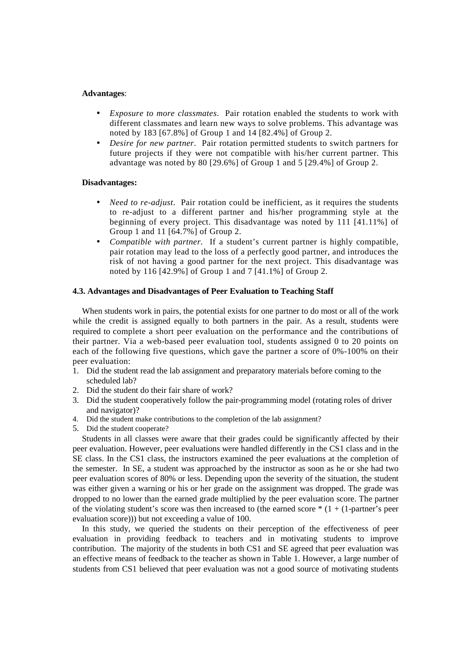#### **Advantages**:

- *Exposure to more classmates*. Pair rotation enabled the students to work with different classmates and learn new ways to solve problems. This advantage was noted by 183 [67.8%] of Group 1 and 14 [82.4%] of Group 2.
- *Desire for new partner*. Pair rotation permitted students to switch partners for future projects if they were not compatible with his/her current partner. This advantage was noted by 80 [29.6%] of Group 1 and 5 [29.4%] of Group 2.

### **Disadvantages:**

- *Need to re-adjust.* Pair rotation could be inefficient, as it requires the students to re-adjust to a different partner and his/her programming style at the beginning of every project. This disadvantage was noted by 111 [41.11%] of Group 1 and 11 [64.7%] of Group 2.
- *Compatible with partner.* If a student's current partner is highly compatible, pair rotation may lead to the loss of a perfectly good partner, and introduces the risk of not having a good partner for the next project. This disadvantage was noted by 116 [42.9%] of Group 1 and 7 [41.1%] of Group 2.

### **4.3. Advantages and Disadvantages of Peer Evaluation to Teaching Staff**

When students work in pairs, the potential exists for one partner to do most or all of the work while the credit is assigned equally to both partners in the pair. As a result, students were required to complete a short peer evaluation on the performance and the contributions of their partner. Via a web-based peer evaluation tool, students assigned 0 to 20 points on each of the following five questions, which gave the partner a score of 0%-100% on their peer evaluation:

- 1. Did the student read the lab assignment and preparatory materials before coming to the scheduled lab?
- 2. Did the student do their fair share of work?
- 3. Did the student cooperatively follow the pair-programming model (rotating roles of driver and navigator)?
- 4. Did the student make contributions to the completion of the lab assignment?
- 5. Did the student cooperate?

Students in all classes were aware that their grades could be significantly affected by their peer evaluation. However, peer evaluations were handled differently in the CS1 class and in the SE class. In the CS1 class, the instructors examined the peer evaluations at the completion of the semester. In SE, a student was approached by the instructor as soon as he or she had two peer evaluation scores of 80% or less. Depending upon the severity of the situation, the student was either given a warning or his or her grade on the assignment was dropped. The grade was dropped to no lower than the earned grade multiplied by the peer evaluation score. The partner of the violating student's score was then increased to (the earned score  $*(1 + (1-partner's peer$ ) evaluation score))) but not exceeding a value of 100.

In this study, we queried the students on their perception of the effectiveness of peer evaluation in providing feedback to teachers and in motivating students to improve contribution. The majority of the students in both CS1 and SE agreed that peer evaluation was an effective means of feedback to the teacher as shown in Table 1. However, a large number of students from CS1 believed that peer evaluation was not a good source of motivating students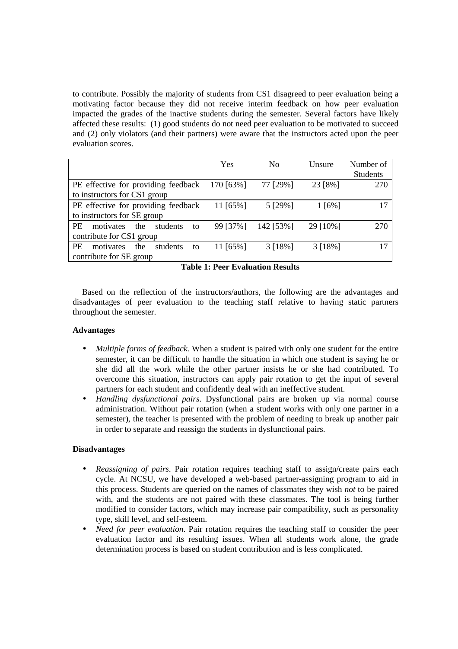to contribute. Possibly the majority of students from CS1 disagreed to peer evaluation being a motivating factor because they did not receive interim feedback on how peer evaluation impacted the grades of the inactive students during the semester. Several factors have likely affected these results: (1) good students do not need peer evaluation to be motivated to succeed and (2) only violators (and their partners) were aware that the instructors acted upon the peer evaluation scores.

|                                                 | Yes         | N <sub>0</sub> | Unsure     | Number of       |
|-------------------------------------------------|-------------|----------------|------------|-----------------|
|                                                 |             |                |            | <b>Students</b> |
| PE effective for providing feedback             | 170 [63%]   | 77 [29%]       | 23 [8%]    | 270             |
| to instructors for CS1 group                    |             |                |            |                 |
| PE effective for providing feedback             | 11 [65%]    | 5 [29%]        | $1\,[6\%]$ | 17              |
| to instructors for SE group                     |             |                |            |                 |
| PF.<br>motivates<br>the<br>students<br>to       | 99 [37%]    | 142 [53%]      | 29 [10%]   | 270             |
| contribute for CS1 group                        |             |                |            |                 |
| <b>PE</b><br>students<br>motivates<br>the<br>to | 11 $[65\%]$ | $3[18\%]$      | 3[18%]     |                 |
| contribute for SE group                         |             |                |            |                 |

**Table 1: Peer Evaluation Results**

Based on the reflection of the instructors/authors, the following are the advantages and disadvantages of peer evaluation to the teaching staff relative to having static partners throughout the semester.

# **Advantages**

- *Multiple forms of feedback.* When a student is paired with only one student for the entire semester, it can be difficult to handle the situation in which one student is saying he or she did all the work while the other partner insists he or she had contributed. To overcome this situation, instructors can apply pair rotation to get the input of several partners for each student and confidently deal with an ineffective student.
- *Handling dysfunctional pairs*. Dysfunctional pairs are broken up via normal course administration. Without pair rotation (when a student works with only one partner in a semester), the teacher is presented with the problem of needing to break up another pair in order to separate and reassign the students in dysfunctional pairs.

# **Disadvantages**

- *Reassigning of pairs*. Pair rotation requires teaching staff to assign/create pairs each cycle. At NCSU, we have developed a web-based partner-assigning program to aid in this process. Students are queried on the names of classmates they wish *not* to be paired with, and the students are not paired with these classmates. The tool is being further modified to consider factors, which may increase pair compatibility, such as personality type, skill level, and self-esteem.
- *Need for peer evaluation*. Pair rotation requires the teaching staff to consider the peer evaluation factor and its resulting issues. When all students work alone, the grade determination process is based on student contribution and is less complicated.